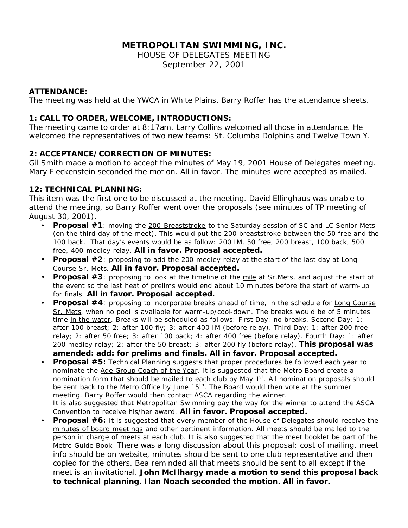### **METROPOLITAN SWIMMING, INC.**

HOUSE OF DELEGATES MEETING September 22, 2001

#### **ATTENDANCE:**

The meeting was held at the YWCA in White Plains. Barry Roffer has the attendance sheets.

#### **1: CALL TO ORDER, WELCOME, INTRODUCTIONS:**

The meeting came to order at 8:17am. Larry Collins welcomed all those in attendance. He welcomed the representatives of two new teams: St. Columba Dolphins and Twelve Town Y.

#### **2: ACCEPTANCE/CORRECTION OF MINUTES:**

Gil Smith made a motion to accept the minutes of May 19, 2001 House of Delegates meeting. Mary Fleckenstein seconded the motion. All in favor. The minutes were accepted as mailed.

#### **12: TECHNICAL PLANNING:**

This item was the first one to be discussed at the meeting. David Ellinghaus was unable to attend the meeting, so Barry Roffer went over the proposals (see minutes of TP meeting of August 30, 2001).

- **Proposal #1***: moving the 200 Breaststroke to the Saturday session of SC and LC Senior Mets (on the third day of the meet). This would put the 200 breaststroke between the 50 free and the 100 back. That day's events would be as follow: 200 IM, 50 free, 200 breast, 100 back, 500 free, 400-medley relay.* **All in favor. Proposal accepted.**
- **Proposal #2**: *proposing to add the 200-medley relay at the start of the last day at Long Course Sr. Mets*. **All in favor. Proposal accepted.**
- **Proposal #3**: *proposing to look at the timeline of the mile at Sr.Mets, and adjust the start of the event so the last heat of prelims would end about 10 minutes before the start of warm-up for finals.* **All in favor. Proposal accepted.**
- **Proposal #4**: *proposing to incorporate breaks ahead of time, in the schedule for Long Course Sr. Mets, when no pool is available for warm-up/cool-down. The breaks would be of 5 minutes time in the water. Breaks will be scheduled as follows: First Day: no breaks. Second Day: 1: after 100 breast; 2: after 100 fly; 3: after 400 IM (before relay). Third Day: 1: after 200 free relay; 2: after 50 free; 3: after 100 back; 4: after 400 free (before relay). Fourth Day: 1: after 200 medley relay; 2: after the 50 breast; 3: after 200 fly (before relay).* **This proposal was amended: add: for prelims and finals. All in favor. Proposal accepted.**
- **Proposal #5:** *Technical Planning suggests that proper procedures be followed each year to nominate the Age Group Coach of the Year. It is suggested that the Metro Board create a nomination form that should be mailed to each club by May 1<sup>st</sup>. All nomination proposals should be sent back to the Metro Office by June 15th. The Board would then vote at the summer meeting. Barry Roffer would then contact ASCA regarding the winner. It is also suggested that Metropolitan Swimming pay the way for the winner to attend the ASCA Convention to receive his/her award.* **All in favor. Proposal accepted.**
- **Proposal #6:** *It is suggested that every member of the House of Delegates should receive the minutes of board meetings and other pertinent information. All meets should be mailed to the person in charge of meets at each club. It is also suggested that the meet booklet be part of the Metro Guide Book.* There was a long discussion about this proposal: cost of mailing, meet info should be on website, minutes should be sent to one club representative and then copied for the others. Bea reminded all that meets should be sent to all except if the meet is an invitational. **John McIlhargy made a motion to send this proposal back to technical planning. Ilan Noach seconded the motion. All in favor.**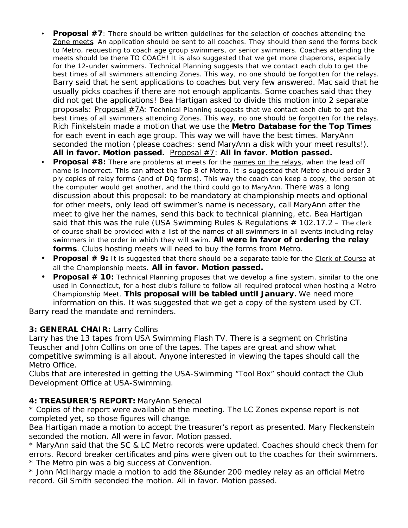- **Proposal #7***: There should be written guidelines for the selection of coaches attending the Zone meets. An application should be sent to all coaches. They should then send the forms back to Metro, requesting to coach age group swimmers, or senior swimmers. Coaches attending the meets should be there TO COACH! It is also suggested that we get more chaperons, especially*  for the 12-under swimmers. Technical Planning suggests that we contact each club to get the *best times of all swimmers attending Zones. This way, no one should be forgotten for the relays.* Barry said that he sent applications to coaches but very few answered. Mac said that he usually picks coaches if there are not enough applicants. Some coaches said that they did not get the applications! Bea Hartigan asked to divide this motion into 2 separate proposals: Proposal #7A: *Technical Planning suggests that we contact each club to get the best times of all swimmers attending Zones. This way, no one should be forgotten for the relays.* Rich Finkelstein made a motion that we use the **Metro Database for the Top Times** for each event in each age group. This way we will have the best times. MaryAnn seconded the motion (please coaches: send MaryAnn a disk with your meet results!). **All in favor. Motion passed.** Proposal #7: **All in favor. Motion passed.**
- **Proposal #8:** *There are problems at meets for the names on the relays, when the lead off name is incorrect. This can affect the Top 8 of Metro. It is suggested that Metro should order 3 ply copies of relay forms (and of DQ forms). This way the coach can keep a copy, the person at the computer would get another, and the third could go to MaryAnn.* There was a long discussion about this proposal: to be mandatory at championship meets and optional for other meets, only lead off swimmer's name is necessary, call MaryAnn after the meet to give her the names, send this back to technical planning, etc. Bea Hartigan said that this was the rule (USA Swimming Rules & Regulations # 102.17.2 – *The clerk of course shall be provided with a list of the names of all swimmers in all events including relay swimmers in the order in which they will swim.* **All were in favor of ordering the relay forms**. Clubs hosting meets will need to buy the forms from Metro.
- **Proposal # 9:** *It is suggested that there should be a separate table for the Clerk of Course at all the Championship meets.* **All in favor. Motion passed.**
- **Proposal # 10:** *Technical Planning proposes that we develop a fine system, similar to the one used in Connecticut, for a host club's failure to follow all required protocol when hosting a Metro Championship Meet.* **This proposal will be tabled until January.** We need more information on this. It was suggested that we get a copy of the system used by CT.

Barry read the mandate and reminders.

#### **3: GENERAL CHAIR:** Larry Collins

Larry has the 13 tapes from USA Swimming Flash TV. There is a segment on Christina Teuscher and John Collins on one of the tapes. The tapes are great and show what competitive swimming is all about. Anyone interested in viewing the tapes should call the Metro Office.

Clubs that are interested in getting the USA-Swimming "Tool Box" should contact the Club Development Office at USA-Swimming.

# **4: TREASURER'S REPORT:** MaryAnn Senecal

\* Copies of the report were available at the meeting. The LC Zones expense report is not completed yet, so those figures will change.

Bea Hartigan made a motion to accept the treasurer's report as presented. Mary Fleckenstein seconded the motion. All were in favor. Motion passed.

\* MaryAnn said that the SC & LC Metro records were updated. Coaches should check them for errors. Record breaker certificates and pins were given out to the coaches for their swimmers. \* The Metro pin was a big success at Convention.

\* John McIlhargy made a motion to add the 8&under 200 medley relay as an official Metro record. Gil Smith seconded the motion. All in favor. Motion passed.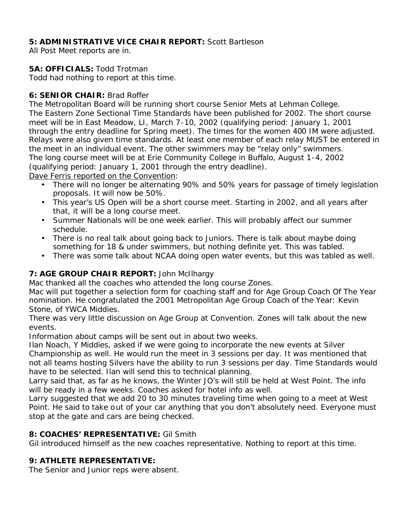# **5: ADMINISTRATIVE VICE CHAIR REPORT:** Scott Bartleson

All Post Meet reports are in.

### **5A: OFFICIALS:** Todd Trotman

Todd had nothing to report at this time.

### **6: SENIOR CHAIR:** Brad Roffer

The Metropolitan Board will be running short course Senior Mets at Lehman College. The Eastern Zone Sectional Time Standards have been published for 2002. The short course meet will be in East Meadow, LI, March 7-10, 2002 (qualifying period: January 1, 2001 through the entry deadline for Spring meet). The times for the women 400 IM were adjusted. Relays were also given time standards. At least one member of each relay MUST be entered in the meet in an individual event. The other swimmers may be "relay only" swimmers. The long course meet will be at Erie Community College in Buffalo, August 1-4, 2002 (qualifying period: January 1, 2001 through the entry deadline).

*Dave Ferris reported on the Convention*:

- There will no longer be alternating 90% and 50% years for passage of timely legislation proposals. It will now be 50%.
- This year's US Open will be a short course meet. Starting in 2002, and all years after that, it will be a long course meet.
- Summer Nationals will be one week earlier. This will probably affect our summer schedule.
- There is no real talk about going back to Juniors. There is talk about maybe doing something for 18 & under swimmers, but nothing definite yet. This was tabled.
- There was some talk about NCAA doing open water events, but this was tabled as well.

# **7: AGE GROUP CHAIR REPORT:** John McIlhargy

Mac thanked all the coaches who attended the long course Zones.

Mac will put together a selection form for coaching staff and for Age Group Coach Of The Year nomination. He congratulated the 2001 Metropolitan Age Group Coach of the Year: Kevin Stone, of YWCA Middies.

There was very little discussion on Age Group at Convention. Zones will talk about the new events.

Information about camps will be sent out in about two weeks.

Ilan Noach, Y Middies, asked if we were going to incorporate the new events at Silver Championship as well. He would run the meet in 3 sessions per day. It was mentioned that not all teams hosting Silvers have the ability to run 3 sessions per day. Time Standards would have to be selected. Ilan will send this to technical planning.

Larry said that, as far as he knows, the Winter JO's will still be held at West Point. The info will be ready in a few weeks. Coaches asked for hotel info as well.

Larry suggested that we add 20 to 30 minutes traveling time when going to a meet at West Point. He said to take out of your car anything that you don't absolutely need. Everyone must stop at the gate and cars are being checked.

#### **8: COACHES' REPRESENTATIVE:** Gil Smith

Gil introduced himself as the new coaches representative. Nothing to report at this time.

#### **9: ATHLETE REPRESENTATIVE:**

The Senior and Junior reps were absent.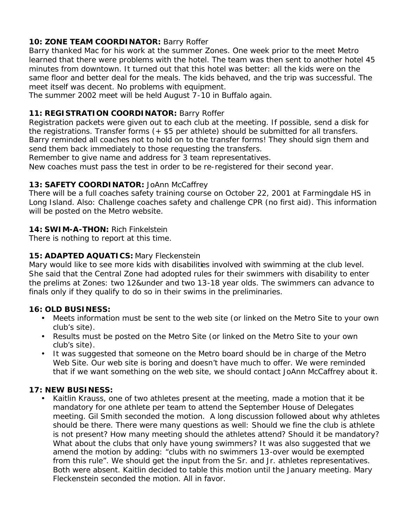# **10: ZONE TEAM COORDINATOR:** Barry Roffer

Barry thanked Mac for his work at the summer Zones. One week prior to the meet Metro learned that there were problems with the hotel. The team was then sent to another hotel 45 minutes from downtown. It turned out that this hotel was better: all the kids were on the same floor and better deal for the meals. The kids behaved, and the trip was successful. The meet itself was decent. No problems with equipment.

The summer 2002 meet will be held August 7-10 in Buffalo again.

### **11: REGISTRATION COORDINATOR:** Barry Roffer

Registration packets were given out to each club at the meeting. If possible, send a disk for the registrations. Transfer forms (+ \$5 per athlete) should be submitted for all transfers. Barry reminded all coaches not to hold on to the transfer forms! They should sign them and send them back immediately to those requesting the transfers.

Remember to give name and address for 3 team representatives.

New coaches must pass the test in order to be re-registered for their second year.

#### 13: SAFETY COORDINATOR: JoAnn McCaffrey

There will be a full coaches safety training course on October 22, 2001 at Farmingdale HS in Long Island. Also: Challenge coaches safety and challenge CPR (no first aid). This information will be posted on the Metro website.

#### **14: SWIM-A-THON:** Rich Finkelstein

There is nothing to report at this time.

### **15: ADAPTED AQUATICS:** Mary Fleckenstein

Mary would like to see more kids with disabilities involved with swimming at the club level. She said that the Central Zone had adopted rules for their swimmers with disability to enter the prelims at Zones: two 12&under and two 13-18 year olds. The swimmers can advance to finals only if they qualify to do so in their swims in the preliminaries.

#### **16: OLD BUSINESS:**

- Meets information must be sent to the web site (or linked on the Metro Site to your own club's site).
- Results must be posted on the Metro Site (or linked on the Metro Site to your own club's site).
- It was suggested that someone on the Metro board should be in charge of the Metro Web Site. Our web site is boring and doesn't have much to offer. We were reminded that if we want something on the web site, we should contact JoAnn McCaffrey about it.

#### **17: NEW BUSINESS:**

• Kaitlin Krauss, one of two athletes present at the meeting, made a motion that it be mandatory for one athlete per team to attend the September House of Delegates meeting. Gil Smith seconded the motion. A long discussion followed about why athletes should be there. There were many questions as well: Should we fine the club is athlete is not present? How many meeting should the athletes attend? Should it be mandatory? What about the clubs that only have young swimmers? It was also suggested that we amend the motion by adding: "clubs with no swimmers 13-over would be exempted from this rule". We should get the input from the Sr. and Jr. athletes representatives. Both were absent. Kaitlin decided to table this motion until the January meeting. Mary Fleckenstein seconded the motion. All in favor.